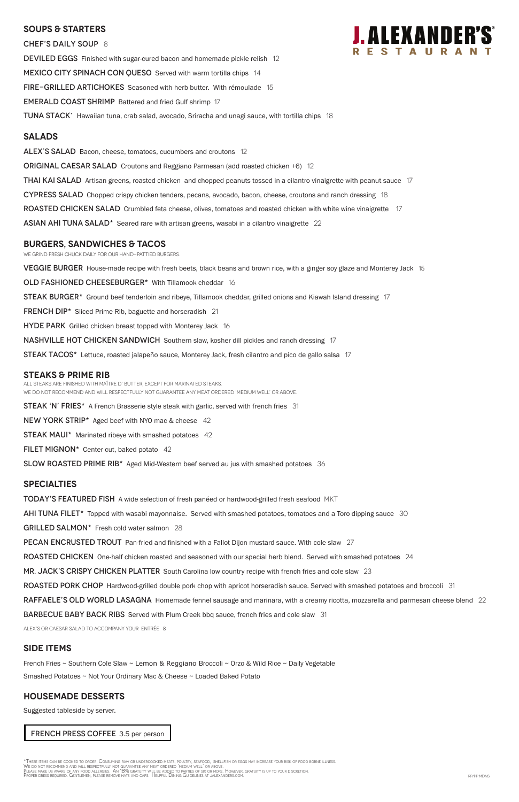## **SOUPS & Starters**

CHEF'S DAILY SOUP 8 DEVILED EGGS Finished with sugar-cured bacon and homemade pickle relish 12 MEXICO CITY SPINACH CON QUESO Served with warm tortilla chips 14 FIRE-GRILLED ARTICHOKES Seasoned with herb butter. With rémoulade 15 EMERALD COAST SHRIMP Battered and fried Gulf shrimp 17 TUNA STACK<sup>\*</sup> Hawaiian tuna, crab salad, avocado, Sriracha and unagi sauce, with tortilla chips 18

## **Salads**

ALEX'S SALAD Bacon, cheese, tomatoes, cucumbers and croutons 12

ORIGINAL CAESAR SALAD Croutons and Reggiano Parmesan (add roasted chicken +6) 12

THAI KAI SALAD Artisan greens, roasted chicken and chopped peanuts tossed in a cilantro vinaigrette with peanut sauce 17

CYPRESS SALAD Chopped crispy chicken tenders, pecans, avocado, bacon, cheese, croutons and ranch dressing 18

ROASTED CHICKEN SALAD Crumbled feta cheese, olives, tomatoes and roasted chicken with white wine vinaigrette 17

ASIAN AHI TUNA SALAD\* Seared rare with artisan greens, wasabi in a cilantro vinaigrette 22

### **burgers, Sandwiches & TACOS**

We grind fresh chuck daily for our hand-pattied burgers.

VEGGIE BURGER House-made recipe with fresh beets, black beans and brown rice, with a ginger soy glaze and Monterey Jack 15

OLD FASHIONED CHEESEBURGER\* With Tillamook cheddar 16

STEAK BURGER<sup>\*</sup> Ground beef tenderloin and ribeye, Tillamook cheddar, grilled onions and Kiawah Island dressing 17

**FRENCH DIP\*** Sliced Prime Rib, baguette and horseradish 21

**HYDE PARK** Grilled chicken breast topped with Monterey Jack 16

**NASHVILLE HOT CHICKEN SANDWICH** Southern slaw, kosher dill pickles and ranch dressing 17

STEAK TACOS<sup>\*</sup> Lettuce, roasted jalapeño sauce, Monterey Jack, fresh cilantro and pico de gallo salsa 17

### **STEAKS & Prime Rib**

All steaks are finished with Maître d' butter, except for marinated steaks. WE DO NOT RECOMMEND AND WILL RESPECTFULLY NOT GUARANTEE ANY MEAT ORDERED 'MEDIUM WELL' OR ABOVE.

**STEAK 'N' FRIES\*** A French Brasserie style steak with garlic, served with french fries 31

NEW YORK STRIP\* Aged beef with NYO mac & cheese 42

**STEAK MAUI\*** Marinated ribeye with smashed potatoes 42

FILET MIGNON $*$  Center cut, baked potato 42

SLOW ROASTED PRIME RIB<sup>\*</sup> Aged Mid-Western beef served au jus with smashed potatoes 36

### **specialties**

**TODAY'S FEATURED FISH** A wide selection of fresh panéed or hardwood-grilled fresh seafood MKT

AHI TUNA FILET\* Topped with wasabi mayonnaise. Served with smashed potatoes, tomatoes and a Toro dipping sauce 30

GRILLED SALMON\* Fresh cold water salmon 28

**PECAN ENCRUSTED TROUT** Pan-fried and finished with a Fallot Dijon mustard sauce. With cole slaw 27

ROASTED CHICKEN One-half chicken roasted and seasoned with our special herb blend. Served with smashed potatoes 24

MR. JACK'S CRISPY CHICKEN PLATTER South Carolina low country recipe with french fries and cole slaw 23

ROASTED PORK CHOP Hardwood-grilled double pork chop with apricot horseradish sauce. Served with smashed potatoes and broccoli 31



RAFFAELE'S OLD WORLD LASAGNA Homemade fennel sausage and marinara, with a creamy ricotta, mozzarella and parmesan cheese blend 22 **BARBECUE BABY BACK RIBS** Served with Plum Creek bbq sauce, french fries and cole slaw 31

Alex's or caesar salad to accompany your entrée 8

## **SIDE ITEMS**

French Fries ~ Southern Cole Slaw ~ Lemon & Reggiano Broccoli ~ Orzo & Wild Rice ~ Daily Vegetable

Smashed Potatoes ~ Not Your Ordinary Mac & Cheese ~ Loaded Baked Potato

## **Housemade DESSERTS**

Suggested tableside by server.

FRENCH PRESS COFFEE 3.5 per person

\*These items can be cooked to order. Consuming raw or undercooked meats, poultry, seafood, shellfish or eggs may increase your risk of food borne illness.<br>We do not recommend and will respectfully not guarantee any meat or